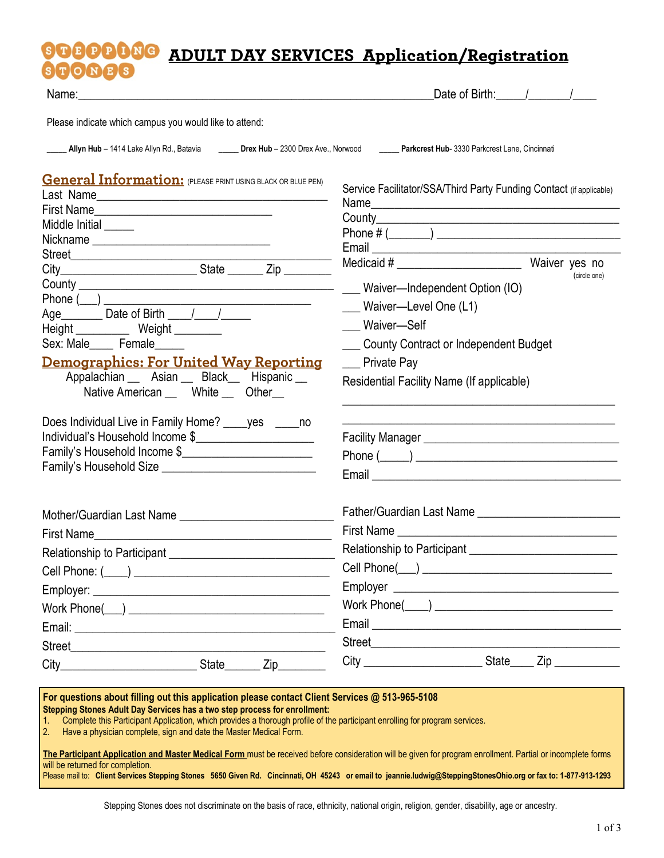#### **PPDNG ADULT DAY SERVICES Application/Registration** NES

| Name: Name: All and the state of the state of the state of the state of the state of the state of the state of the state of the state of the state of the state of the state of the state of the state of the state of the sta                                                                                                                                                                                                                                                                                                                                                                                                                                                                                                   | Date of Birth: / /                                                                                                                                                                                                                                                                    |     |  |  |  |  |
|----------------------------------------------------------------------------------------------------------------------------------------------------------------------------------------------------------------------------------------------------------------------------------------------------------------------------------------------------------------------------------------------------------------------------------------------------------------------------------------------------------------------------------------------------------------------------------------------------------------------------------------------------------------------------------------------------------------------------------|---------------------------------------------------------------------------------------------------------------------------------------------------------------------------------------------------------------------------------------------------------------------------------------|-----|--|--|--|--|
| Please indicate which campus you would like to attend:                                                                                                                                                                                                                                                                                                                                                                                                                                                                                                                                                                                                                                                                           |                                                                                                                                                                                                                                                                                       |     |  |  |  |  |
| Allyn Hub - 1414 Lake Allyn Rd., Batavia ________ Drex Hub - 2300 Drex Ave., Norwood ______ Parkcrest Hub- 3330 Parkcrest Lane, Cincinnati                                                                                                                                                                                                                                                                                                                                                                                                                                                                                                                                                                                       |                                                                                                                                                                                                                                                                                       |     |  |  |  |  |
| <b>General Information:</b> (PLEASE PRINT USING BLACK OR BLUE PEN)<br>Middle Initial<br>Street <u>Executive Contract Contract Contract Contract Contract Contract Contract Contract Contract Contract Contract Contract Contract Contract Contract Contract Contract Contract Contract Contract Contract Contract Contra</u><br>Age <b>No. 2018</b> Date of Birth <sub>1</sub> 1<br>Height _____________ Weight _________<br>Sex: Male_____ Female_____<br><u> Demographics: For United Way Reporting</u><br>Appalachian __ Asian __ Black__ Hispanic __<br>Native American ____ White ___ Other<br>Does Individual Live in Family Home? _____ yes ______ no<br>Individual's Household Income \$<br>Family's Household Income \$ | Service Facilitator/SSA/Third Party Funding Contact (if applicable)<br>(circle one)<br>___ Waiver-Independent Option (IO)<br>___ Waiver-Level One (L1)<br>Waiver-Self<br>___ County Contract or Independent Budget<br><b>Private Pay</b><br>Residential Facility Name (If applicable) |     |  |  |  |  |
| First Name                                                                                                                                                                                                                                                                                                                                                                                                                                                                                                                                                                                                                                                                                                                       |                                                                                                                                                                                                                                                                                       |     |  |  |  |  |
|                                                                                                                                                                                                                                                                                                                                                                                                                                                                                                                                                                                                                                                                                                                                  |                                                                                                                                                                                                                                                                                       |     |  |  |  |  |
|                                                                                                                                                                                                                                                                                                                                                                                                                                                                                                                                                                                                                                                                                                                                  |                                                                                                                                                                                                                                                                                       |     |  |  |  |  |
|                                                                                                                                                                                                                                                                                                                                                                                                                                                                                                                                                                                                                                                                                                                                  |                                                                                                                                                                                                                                                                                       |     |  |  |  |  |
|                                                                                                                                                                                                                                                                                                                                                                                                                                                                                                                                                                                                                                                                                                                                  |                                                                                                                                                                                                                                                                                       |     |  |  |  |  |
|                                                                                                                                                                                                                                                                                                                                                                                                                                                                                                                                                                                                                                                                                                                                  |                                                                                                                                                                                                                                                                                       |     |  |  |  |  |
|                                                                                                                                                                                                                                                                                                                                                                                                                                                                                                                                                                                                                                                                                                                                  |                                                                                                                                                                                                                                                                                       |     |  |  |  |  |
| Zip                                                                                                                                                                                                                                                                                                                                                                                                                                                                                                                                                                                                                                                                                                                              |                                                                                                                                                                                                                                                                                       | Zip |  |  |  |  |
|                                                                                                                                                                                                                                                                                                                                                                                                                                                                                                                                                                                                                                                                                                                                  |                                                                                                                                                                                                                                                                                       |     |  |  |  |  |

2. Have a physician complete, sign and date the Master Medical Form.

**The Participant Application and Master Medical Form** must be received before consideration will be given for program enrollment. Partial or incomplete forms will be returned for completion.

Please mail to: **Client Services Stepping Stones 5650 Given Rd. Cincinnati, OH 45243 or email to jeannie.ludwig@SteppingStonesOhio.org or fax to: 1-877-913-1293** 

Stepping Stones does not discriminate on the basis of race, ethnicity, national origin, religion, gender, disability, age or ancestry.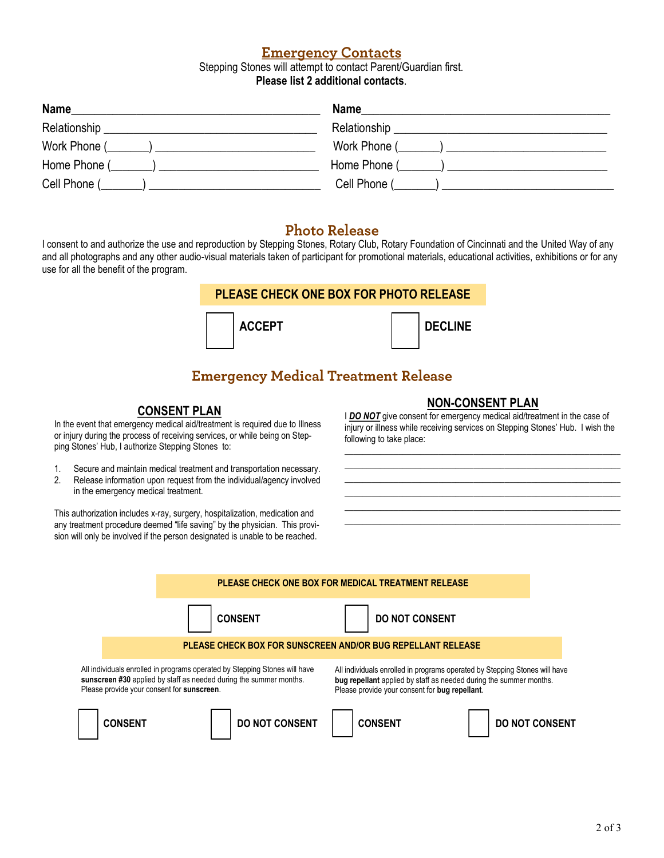### **Emergency Contacts**

Stepping Stones will attempt to contact Parent/Guardian first. **Please list 2 additional contacts**.

| Name                                                                                                                                    | <b>Name</b> |
|-----------------------------------------------------------------------------------------------------------------------------------------|-------------|
| Relationship _<br><u> 1980 - Jan James, politik eta politik eta politik eta politik eta politik eta politik eta politik eta politik</u> |             |
| Work Phone $(\_\_\_\_)$                                                                                                                 |             |
| Home Phone $(\_\_\_\_\_)$                                                                                                               |             |
| Cell Phone ( )                                                                                                                          |             |

### **Photo Release**

I consent to and authorize the use and reproduction by Stepping Stones, Rotary Club, Rotary Foundation of Cincinnati and the United Way of any and all photographs and any other audio-visual materials taken of participant for promotional materials, educational activities, exhibitions or for any use for all the benefit of the program.



# **Emergency Medical Treatment Release**

### **CONSENT PLAN**

In the event that emergency medical aid/treatment is required due to Illness or injury during the process of receiving services, or while being on Stepping Stones' Hub, I authorize Stepping Stones to:

- 1. Secure and maintain medical treatment and transportation necessary.
- 2. Release information upon request from the individual/agency involved in the emergency medical treatment.

This authorization includes x-ray, surgery, hospitalization, medication and any treatment procedure deemed "life saving" by the physician. This provision will only be involved if the person designated is unable to be reached.

#### **NON-CONSENT PLAN**

I **DO NOT** give consent for emergency medical aid/treatment in the case of injury or illness while receiving services on Stepping Stones' Hub. I wish the following to take place:

\_\_\_\_\_\_\_\_\_\_\_\_\_\_\_\_\_\_\_\_\_\_\_\_\_\_\_\_\_\_\_\_\_\_\_\_\_\_\_\_\_\_\_\_\_\_\_\_\_\_\_\_\_\_\_\_\_\_\_\_\_\_ \_\_\_\_\_\_\_\_\_\_\_\_\_\_\_\_\_\_\_\_\_\_\_\_\_\_\_\_\_\_\_\_\_\_\_\_\_\_\_\_\_\_\_\_\_\_\_\_\_\_\_\_\_\_\_\_\_\_\_\_\_\_ \_\_\_\_\_\_\_\_\_\_\_\_\_\_\_\_\_\_\_\_\_\_\_\_\_\_\_\_\_\_\_\_\_\_\_\_\_\_\_\_\_\_\_\_\_\_\_\_\_\_\_\_\_\_\_\_\_\_\_\_\_\_ \_\_\_\_\_\_\_\_\_\_\_\_\_\_\_\_\_\_\_\_\_\_\_\_\_\_\_\_\_\_\_\_\_\_\_\_\_\_\_\_\_\_\_\_\_\_\_\_\_\_\_\_\_\_\_\_\_\_\_\_\_\_ \_\_\_\_\_\_\_\_\_\_\_\_\_\_\_\_\_\_\_\_\_\_\_\_\_\_\_\_\_\_\_\_\_\_\_\_\_\_\_\_\_\_\_\_\_\_\_\_\_\_\_\_\_\_\_\_\_\_\_\_\_\_ \_\_\_\_\_\_\_\_\_\_\_\_\_\_\_\_\_\_\_\_\_\_\_\_\_\_\_\_\_\_\_\_\_\_\_\_\_\_\_\_\_\_\_\_\_\_\_\_\_\_\_\_\_\_\_\_\_\_\_\_\_\_

|                                                                                                                                                                                                | PLEASE CHECK ONE BOX FOR MEDICAL TREATMENT RELEASE          |  |                                                                                                                                                                                                    |                       |  |                       |  |  |                       |
|------------------------------------------------------------------------------------------------------------------------------------------------------------------------------------------------|-------------------------------------------------------------|--|----------------------------------------------------------------------------------------------------------------------------------------------------------------------------------------------------|-----------------------|--|-----------------------|--|--|-----------------------|
|                                                                                                                                                                                                |                                                             |  | <b>CONSENT</b>                                                                                                                                                                                     |                       |  | <b>DO NOT CONSENT</b> |  |  |                       |
|                                                                                                                                                                                                | PLEASE CHECK BOX FOR SUNSCREEN AND/OR BUG REPELLANT RELEASE |  |                                                                                                                                                                                                    |                       |  |                       |  |  |                       |
| All individuals enrolled in programs operated by Stepping Stones will have<br>sunscreen #30 applied by staff as needed during the summer months.<br>Please provide your consent for sunscreen. |                                                             |  | All individuals enrolled in programs operated by Stepping Stones will have<br>bug repellant applied by staff as needed during the summer months.<br>Please provide your consent for bug repellant. |                       |  |                       |  |  |                       |
|                                                                                                                                                                                                | <b>CONSENT</b>                                              |  |                                                                                                                                                                                                    | <b>DO NOT CONSENT</b> |  | <b>CONSENT</b>        |  |  | <b>DO NOT CONSENT</b> |
|                                                                                                                                                                                                |                                                             |  |                                                                                                                                                                                                    |                       |  |                       |  |  |                       |